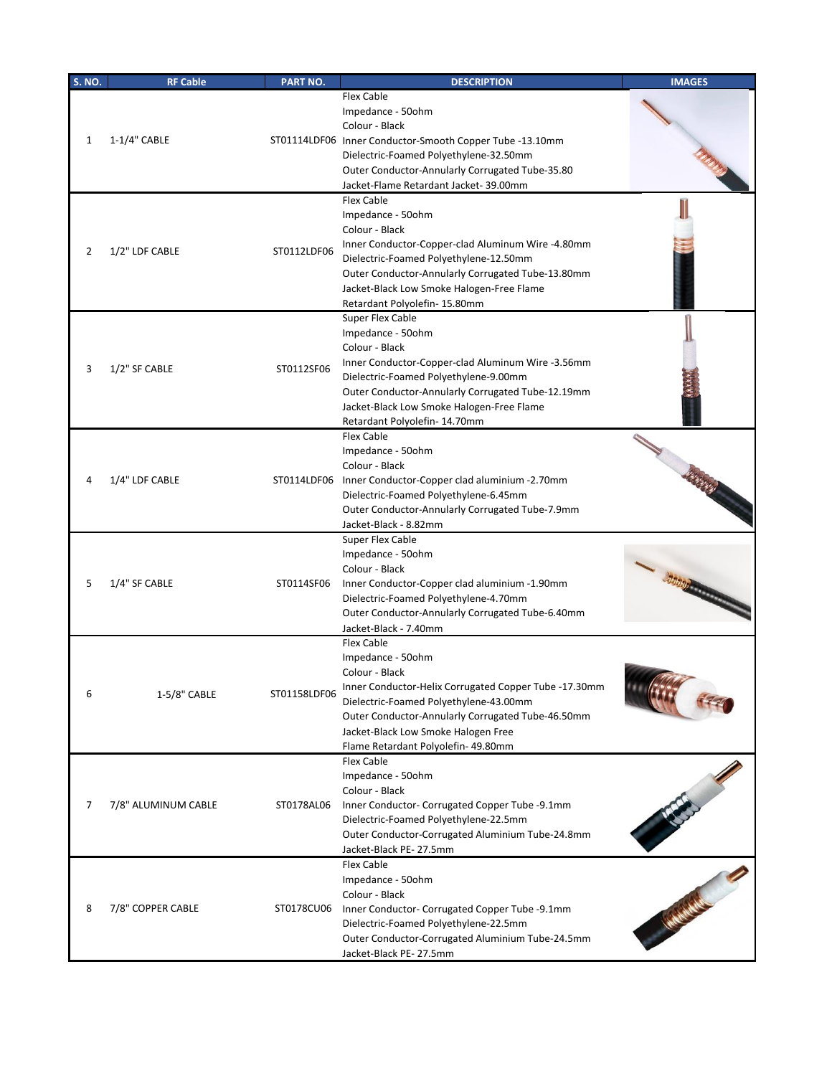| <b>S. NO.</b> | <b>RF Cable</b>     | PART NO.     | <b>DESCRIPTION</b>                                                                                                                                                                                                                                                                                                          | <b>IMAGES</b> |
|---------------|---------------------|--------------|-----------------------------------------------------------------------------------------------------------------------------------------------------------------------------------------------------------------------------------------------------------------------------------------------------------------------------|---------------|
| 1             | 1-1/4" CABLE        |              | Flex Cable<br>Impedance - 50ohm<br>Colour - Black<br>ST01114LDF06 Inner Conductor-Smooth Copper Tube -13.10mm<br>Dielectric-Foamed Polyethylene-32.50mm<br>Outer Conductor-Annularly Corrugated Tube-35.80                                                                                                                  |               |
| 2             | 1/2" LDF CABLE      | ST0112LDF06  | Jacket-Flame Retardant Jacket-39.00mm<br>Flex Cable<br>Impedance - 50ohm<br>Colour - Black<br>Inner Conductor-Copper-clad Aluminum Wire -4.80mm<br>Dielectric-Foamed Polyethylene-12.50mm<br>Outer Conductor-Annularly Corrugated Tube-13.80mm<br>Jacket-Black Low Smoke Halogen-Free Flame<br>Retardant Polyolefin-15.80mm |               |
| 3             | 1/2" SF CABLE       | ST0112SF06   | Super Flex Cable<br>Impedance - 50ohm<br>Colour - Black<br>Inner Conductor-Copper-clad Aluminum Wire -3.56mm<br>Dielectric-Foamed Polyethylene-9.00mm<br>Outer Conductor-Annularly Corrugated Tube-12.19mm<br>Jacket-Black Low Smoke Halogen-Free Flame<br>Retardant Polyolefin- 14.70mm                                    |               |
|               | 1/4" LDF CABLE      | ST0114LDF06  | Flex Cable<br>Impedance - 50ohm<br>Colour - Black<br>Inner Conductor-Copper clad aluminium -2.70mm<br>Dielectric-Foamed Polyethylene-6.45mm<br>Outer Conductor-Annularly Corrugated Tube-7.9mm<br>Jacket-Black - 8.82mm                                                                                                     |               |
| 5             | 1/4" SF CABLE       | ST0114SF06   | Super Flex Cable<br>Impedance - 50ohm<br>Colour - Black<br>Inner Conductor-Copper clad aluminium -1.90mm<br>Dielectric-Foamed Polyethylene-4.70mm<br>Outer Conductor-Annularly Corrugated Tube-6.40mm<br>Jacket-Black - 7.40mm                                                                                              |               |
| 6             | 1-5/8" CABLE        | ST01158LDF06 | Flex Cable<br>Impedance - 50ohm<br>Colour - Black<br>Inner Conductor-Helix Corrugated Copper Tube -17.30mm<br>Dielectric-Foamed Polyethylene-43.00mm<br>Outer Conductor-Annularly Corrugated Tube-46.50mm<br>Jacket-Black Low Smoke Halogen Free<br>Flame Retardant Polyolefin- 49.80mm                                     |               |
| 7             | 7/8" ALUMINUM CABLE | ST0178AL06   | Flex Cable<br>Impedance - 50ohm<br>Colour - Black<br>Inner Conductor- Corrugated Copper Tube -9.1mm<br>Dielectric-Foamed Polyethylene-22.5mm<br>Outer Conductor-Corrugated Aluminium Tube-24.8mm<br>Jacket-Black PE- 27.5mm                                                                                                 |               |
| 8             | 7/8" COPPER CABLE   | ST0178CU06   | Flex Cable<br>Impedance - 50ohm<br>Colour - Black<br>Inner Conductor- Corrugated Copper Tube -9.1mm<br>Dielectric-Foamed Polyethylene-22.5mm<br>Outer Conductor-Corrugated Aluminium Tube-24.5mm<br>Jacket-Black PE- 27.5mm                                                                                                 |               |